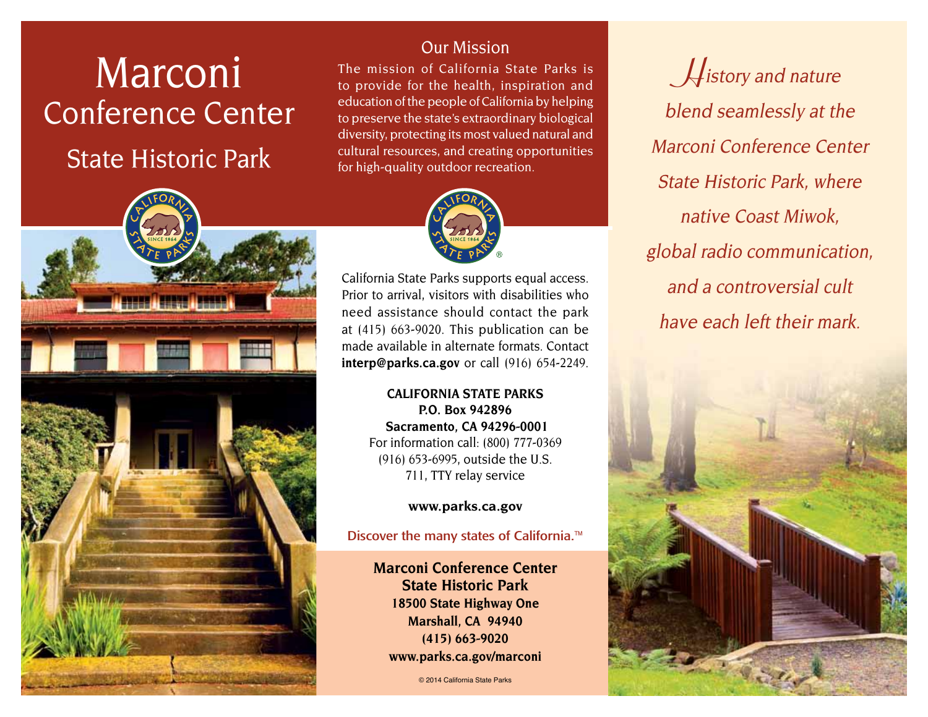# Marconi Conference Center

## State Historic Park

## Our Mission

The mission of California State Parks is to provide for the health, inspiration and education of the people of California by helping to preserve the state's extraordinary biological diversity, protecting its most valued natural and cultural resources, and creating opportunities for high-quality outdoor recreation.



California State Parks supports equal access. Prior to arrival, visitors with disabilities who need assistance should contact the park at (415) 663-9020. This publication can be made available in alternate formats. Contact **[interp@parks.ca.gov](mailto:interp@parks.ca.gov)** or call (916) 654-2249.

> **CALIFORNIA STATE PARKS P.O. Box 942896 Sacramento, CA 94296-0001** For information call: (800) 777-0369 (916) 653-6995, outside the U.S. 711, TTY relay service

> > **[www.parks.ca.gov](http://www.parks.ca.gov)**

Discover the many states of California.<sup>™</sup>

**Marconi Conference Center State Historic Park 18500 State Highway One Marshall, CA 94940 (415) 663-9020 [www.parks.ca.gov/marconi](http://www.parks.ca.gov/marconi)**

© 2014 California State Parks

**H**istory and nature blend seamlessly at the Marconi Conference Center State Historic Park, where native Coast Miwok, global radio communication, and a controversial cult have each left their mark.



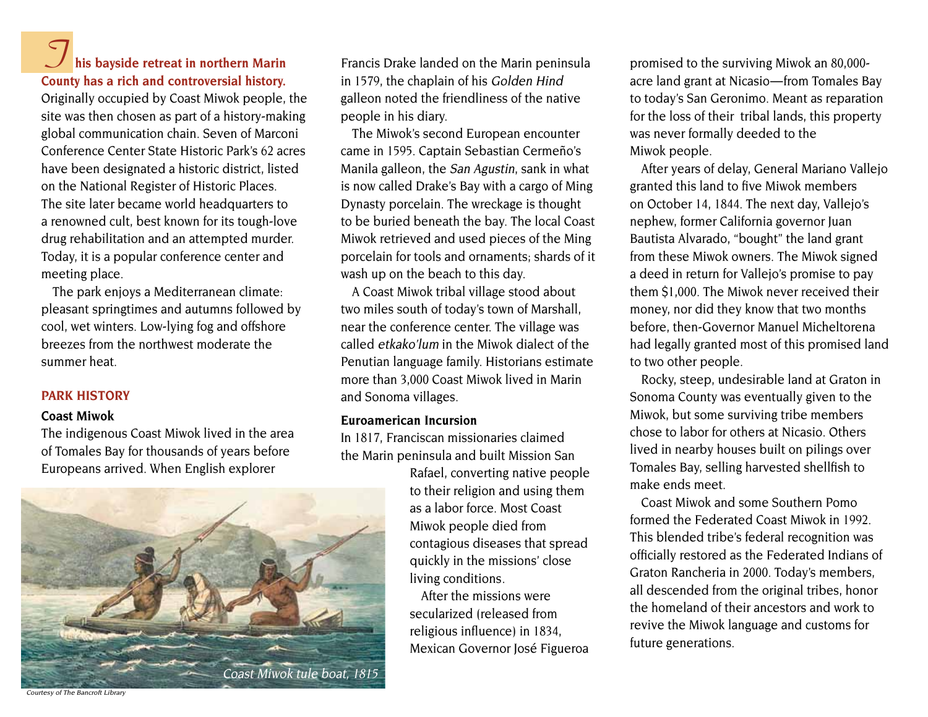## **his bayside retreat in northern Marin County has a rich and controversial history. T**

Originally occupied by Coast Miwok people, the site was then chosen as part of a history-making global communication chain. Seven of Marconi Conference Center State Historic Park's 62 acres have been designated a historic district, listed on the National Register of Historic Places. The site later became world headquarters to a renowned cult, best known for its tough-love drug rehabilitation and an attempted murder. Today, it is a popular conference center and meeting place.

The park enjoys a Mediterranean climate: pleasant springtimes and autumns followed by cool, wet winters. Low-lying fog and offshore breezes from the northwest moderate the summer heat.

## **PARK HISTORy**

#### **Coast Miwok**

The indigenous Coast Miwok lived in the area of Tomales Bay for thousands of years before Europeans arrived. When English explorer



Francis Drake landed on the Marin peninsula in 1579, the chaplain of his Golden Hind galleon noted the friendliness of the native people in his diary.

The Miwok's second European encounter came in 1595. Captain Sebastian Cermeño's Manila galleon, the San Agustin, sank in what is now called Drake's Bay with a cargo of Ming Dynasty porcelain. The wreckage is thought to be buried beneath the bay. The local Coast Miwok retrieved and used pieces of the Ming porcelain for tools and ornaments; shards of it wash up on the beach to this day.

A Coast Miwok tribal village stood about two miles south of today's town of Marshall, near the conference center. The village was called etkako'lum in the Miwok dialect of the Penutian language family. Historians estimate more than 3,000 Coast Miwok lived in Marin and Sonoma villages.

#### **Euroamerican Incursion**

In 1817, Franciscan missionaries claimed the Marin peninsula and built Mission San

> Rafael, converting native people to their religion and using them as a labor force. Most Coast Miwok people died from contagious diseases that spread quickly in the missions' close living conditions.

> After the missions were secularized (released from religious influence) in 1834, Mexican Governor José Figueroa

promised to the surviving Miwok an 80,000 acre land grant at Nicasio — from Tomales Bay to today's San Geronimo. Meant as reparation for the loss of their tribal lands, this property was never formally deeded to the Miwok people.

After years of delay, General Mariano Vallejo granted this land to five Miwok members on October 14, 1844. The next day, Vallejo's nephew, former California governor Juan Bautista Alvarado, "bought" the land grant from these Miwok owners. The Miwok signed a deed in return for Vallejo's promise to pay them \$1,000. The Miwok never received their money, nor did they know that two months before, then-Governor Manuel Micheltorena had legally granted most of this promised land to two other people.

Rocky, steep, undesirable land at Graton in Sonoma County was eventually given to the Miwok, but some surviving tribe members chose to labor for others at Nicasio. Others lived in nearby houses built on pilings over Tomales Bay, selling harvested shellfish to make ends meet.

Coast Miwok and some Southern Pomo formed the Federated Coast Miwok in 1992. This blended tribe's federal recognition was officially restored as the Federated Indians of Graton Rancheria in 2000. Today's members, all descended from the original tribes, honor the homeland of their ancestors and work to revive the Miwok language and customs for future generations.

Courtesy of The Bancroft Librar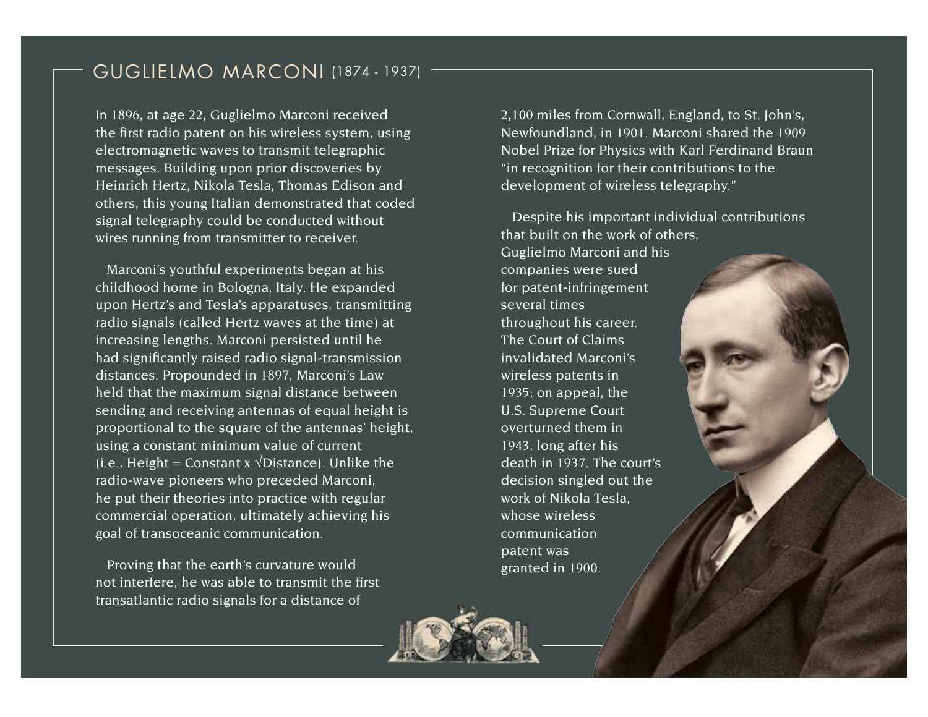## GuGlielmo marconi (1874 - 1937)

In 1896, at age 22, Guglielmo Marconi received the first radio patent on his wireless system, using electromagnetic waves to transmit telegraphic messages. Building upon prior discoveries by Heinrich Hertz, Nikola Tesla, Thomas Edison and others, this young Italian demonstrated that coded signal telegraphy could be conducted without wires running from transmitter to receiver.

Marconi's youthful experiments began at his childhood home in Bologna, Italy. He expanded upon Hertz's and Tesla's apparatuses, transmitting radio signals (called Hertz waves at the time) at increasing lengths. Marconi persisted until he had significantly raised radio signal-transmission distances. Propounded in 1897, Marconi's Law held that the maximum signal distance between sending and receiving antennas of equal height is proportional to the square of the antennas' height, using a constant minimum value of current (i.e., Height = Constant x  $\sqrt{Distance}$ ). Unlike the radio-wave pioneers who preceded Marconi, he put their theories into practice with regular commercial operation, ultimately achieving his goal of transoceanic communication.

Proving that the earth's curvature would not interfere, he was able to transmit the first transatlantic radio signals for a distance of

2,100 miles from Cornwall, England, to St. John's, Newfoundland, in 1901. Marconi shared the 1909 Nobel Prize for Physics with Karl Ferdinand Braun "in recognition for their contributions to the development of wireless telegraphy."

Despite his important individual contributions that built on the work of others, Guglielmo Marconi and his companies were sued for patent-infringement several times throughout his career. The Court of Claims invalidated Marconi's wireless patents in 1935; on appeal, the U.S. Supreme Court overturned them in 1943, long after his death in 1937. The court's decision singled out the work of Nikola Tesla, whose wireless communication patent was granted in 1900.

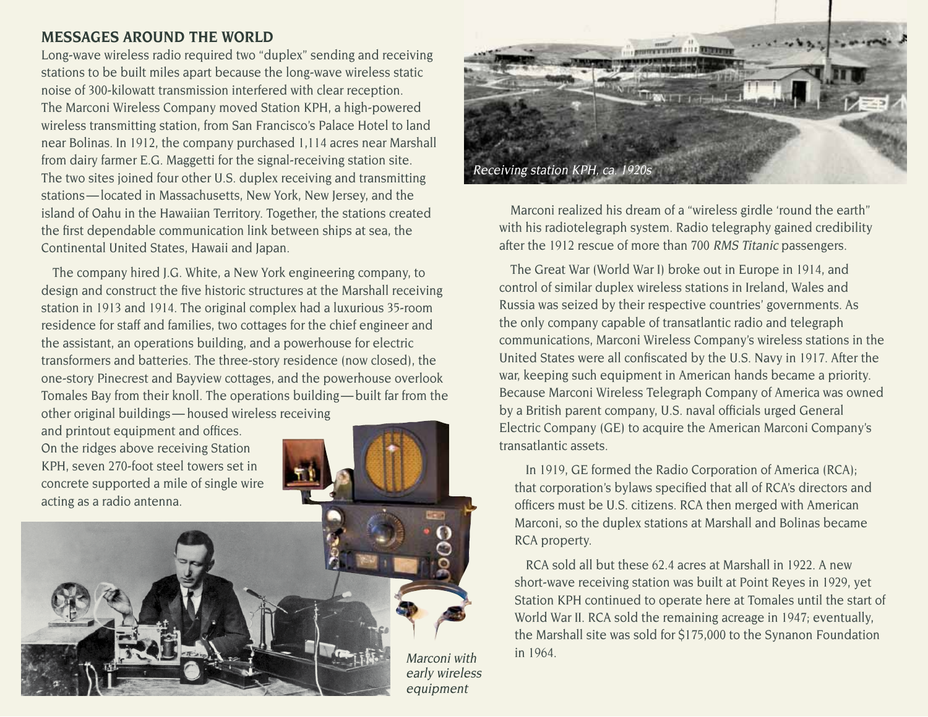## **MESSAgES AROuNd THE WORLd**

Long-wave wireless radio required two "duplex" sending and receiving stations to be built miles apart because the long-wave wireless static noise of 300-kilowatt transmission interfered with clear reception. The Marconi Wireless Company moved Station KPH, a high-powered wireless transmitting station, from San Francisco's Palace Hotel to land near Bolinas. In 1912, the company purchased 1,114 acres near Marshall from dairy farmer E.G. Maggetti for the signal-receiving station site. The two sites joined four other U.S. duplex receiving and transmitting stations — located in Massachusetts, New York, New Jersey, and the island of Oahu in the Hawaiian Territory. Together, the stations created the first dependable communication link between ships at sea, the Continental United States, Hawaii and Japan.

The company hired J.G. White, a New York engineering company, to design and construct the five historic structures at the Marshall receiving station in 1913 and 1914. The original complex had a luxurious 35-room residence for staff and families, two cottages for the chief engineer and the assistant, an operations building, and a powerhouse for electric transformers and batteries. The three-story residence (now closed), the one-story Pinecrest and Bayview cottages, and the powerhouse overlook Tomales Bay from their knoll. The operations building — built far from the other original buildings — housed wireless receiving

and printout equipment and offices. On the ridges above receiving Station KPH, seven 270-foot steel towers set in concrete supported a mile of single wire acting as a radio antenna.





Marconi realized his dream of a "wireless girdle 'round the earth" with his radiotelegraph system. Radio telegraphy gained credibility after the 1912 rescue of more than 700 RMS Titanic passengers.

The Great War (World War I) broke out in Europe in 1914, and control of similar duplex wireless stations in Ireland, Wales and Russia was seized by their respective countries' governments. As the only company capable of transatlantic radio and telegraph communications, Marconi Wireless Company's wireless stations in the United States were all confiscated by the U.S. Navy in 1917. After the war, keeping such equipment in American hands became a priority. Because Marconi Wireless Telegraph Company of America was owned by a British parent company, U.S. naval officials urged General Electric Company (GE) to acquire the American Marconi Company's transatlantic assets.

In 1919, GE formed the Radio Corporation of America (RCA); that corporation's bylaws specified that all of RCA's directors and officers must be U.S. citizens. RCA then merged with American Marconi, so the duplex stations at Marshall and Bolinas became RCA property.

RCA sold all but these 62.4 acres at Marshall in 1922. A new short-wave receiving station was built at Point Reyes in 1929, yet Station KPH continued to operate here at Tomales until the start of World War II. RCA sold the remaining acreage in 1947; eventually, the Marshall site was sold for \$175,000 to the Synanon Foundation in 1964.

Marconi with early wireless equipment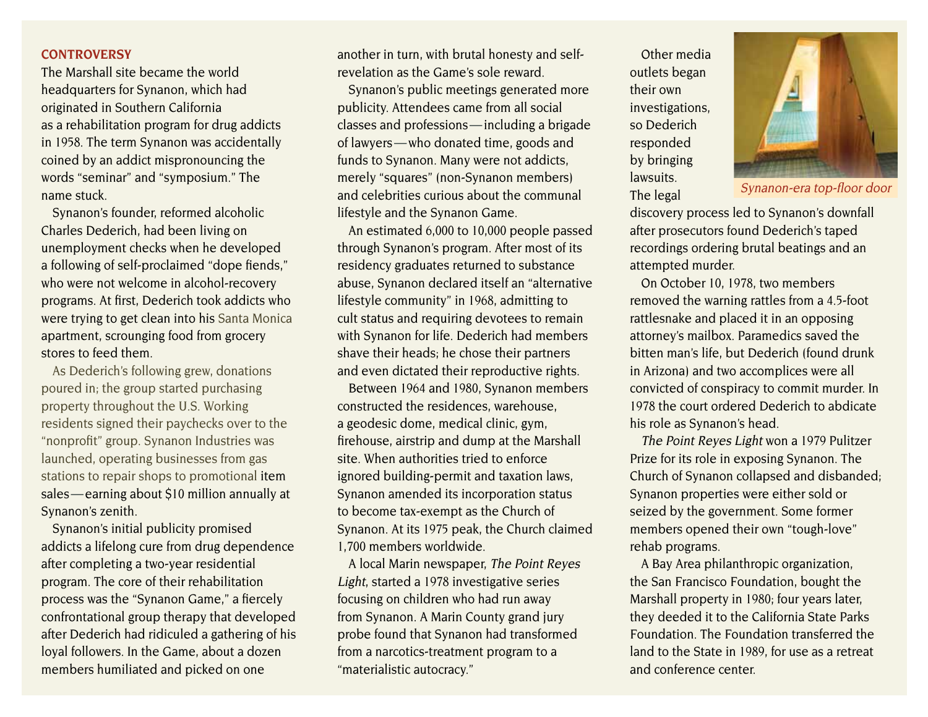## **CONTROvERSy**

The Marshall site became the world headquarters for Synanon, which had originated in Southern California as a rehabilitation program for drug addicts in 1958. The term Synanon was accidentally coined by an addict mispronouncing the words "seminar" and "symposium." The name stuck.

Synanon's founder, reformed alcoholic Charles Dederich, had been living on unemployment checks when he developed a following of self-proclaimed "dope fiends," who were not welcome in alcohol-recovery programs. At first, Dederich took addicts who were trying to get clean into his Santa Monica apartment, scrounging food from grocery stores to feed them.

As Dederich's following grew, donations poured in; the group started purchasing property throughout the U.S. Working residents signed their paychecks over to the "nonprofit" group. Synanon Industries was launched, operating businesses from gas stations to repair shops to promotional item sales — earning about \$10 million annually at Synanon's zenith.

Synanon's initial publicity promised addicts a lifelong cure from drug dependence after completing a two-year residential program. The core of their rehabilitation process was the "Synanon Game," a fiercely confrontational group therapy that developed after Dederich had ridiculed a gathering of his loyal followers. In the Game, about a dozen members humiliated and picked on one

another in turn, with brutal honesty and selfrevelation as the Game's sole reward.

Synanon's public meetings generated more publicity. Attendees came from all social classes and professions — including a brigade of lawyers — who donated time, goods and funds to Synanon. Many were not addicts, merely "squares" (non-Synanon members) and celebrities curious about the communal lifestyle and the Synanon Game.

An estimated 6,000 to 10,000 people passed through Synanon's program. After most of its residency graduates returned to substance abuse, Synanon declared itself an "alternative lifestyle community" in 1968, admitting to cult status and requiring devotees to remain with Synanon for life. Dederich had members shave their heads; he chose their partners and even dictated their reproductive rights.

Between 1964 and 1980, Synanon members constructed the residences, warehouse, a geodesic dome, medical clinic, gym, firehouse, airstrip and dump at the Marshall site. When authorities tried to enforce ignored building-permit and taxation laws, Synanon amended its incorporation status to become tax-exempt as the Church of Synanon. At its 1975 peak, the Church claimed 1,700 members worldwide.

A local Marin newspaper, The Point Reyes Light, started a 1978 investigative series focusing on children who had run away from Synanon. A Marin County grand jury probe found that Synanon had transformed from a narcotics-treatment program to a "materialistic autocracy."

Other media outlets began their own investigations, so Dederich responded by bringing lawsuits. The legal



Synanon-era top-floor door

discovery process led to Synanon's downfall after prosecutors found Dederich's taped recordings ordering brutal beatings and an attempted murder.

On October 10, 1978, two members removed the warning rattles from a 4.5-foot rattlesnake and placed it in an opposing attorney's mailbox. Paramedics saved the bitten man's life, but Dederich (found drunk in Arizona) and two accomplices were all convicted of conspiracy to commit murder. In 1978 the court ordered Dederich to abdicate his role as Synanon's head.

The Point Reyes Light won a 1979 Pulitzer Prize for its role in exposing Synanon. The Church of Synanon collapsed and disbanded; Synanon properties were either sold or seized by the government. Some former members opened their own "tough-love" rehab programs.

A Bay Area philanthropic organization, the San Francisco Foundation, bought the Marshall property in 1980; four years later, they deeded it to the California State Parks Foundation. The Foundation transferred the land to the State in 1989, for use as a retreat and conference center.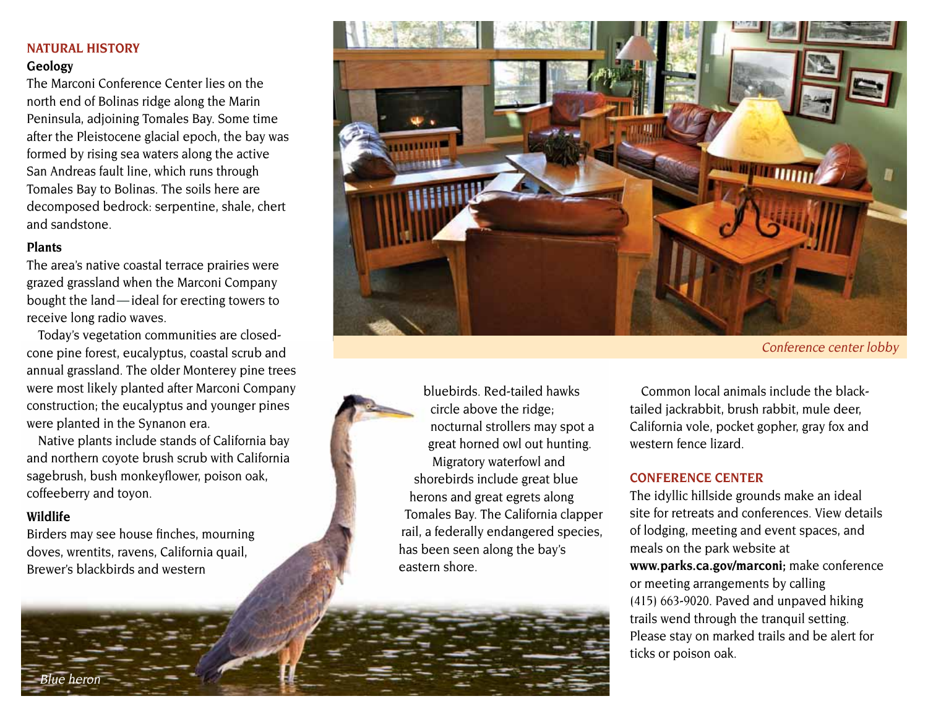## **NATuRAL HISTORy**

## Geology

The Marconi Conference Center lies on the north end of Bolinas ridge along the Marin Peninsula, adjoining Tomales Bay. Some time after the Pleistocene glacial epoch, the bay was formed by rising sea waters along the active San Andreas fault line, which runs through Tomales Bay to Bolinas. The soils here are decomposed bedrock: serpentine, shale, chert and sandstone.

#### **Plants**

The area's native coastal terrace prairies were grazed grassland when the Marconi Company bought the land — ideal for erecting towers to receive long radio waves.

Today's vegetation communities are closedcone pine forest, eucalyptus, coastal scrub and annual grassland. The older Monterey pine trees were most likely planted after Marconi Company construction; the eucalyptus and younger pines were planted in the Synanon era.

Native plants include stands of California bay and northern coyote brush scrub with California sagebrush, bush monkeyflower, poison oak, coffeeberry and toyon.

## **Wildlife**

Birders may see house finches, mourning doves, wrentits, ravens, California quail, Brewer's blackbirds and western



Conference center lobby



bluebirds. Red-tailed hawks circle above the ridge; nocturnal strollers may spot a great horned owl out hunting. Migratory waterfowl and shorebirds include great blue herons and great egrets along Tomales Bay. The California clapper rail, a federally endangered species, has been seen along the bay's eastern shore.

Common local animals include the blacktailed jackrabbit, brush rabbit, mule deer, California vole, pocket gopher, gray fox and western fence lizard.

## **CONFERENCE CENTER**

The idyllic hillside grounds make an ideal site for retreats and conferences. View details of lodging, meeting and event spaces, and meals on the park website at **[www.parks.ca.gov/marconi;](http://www.parks.ca.gov/marconi)** make conference or meeting arrangements by calling (415) 663-9020. Paved and unpaved hiking trails wend through the tranquil setting. Please stay on marked trails and be alert for ticks or poison oak.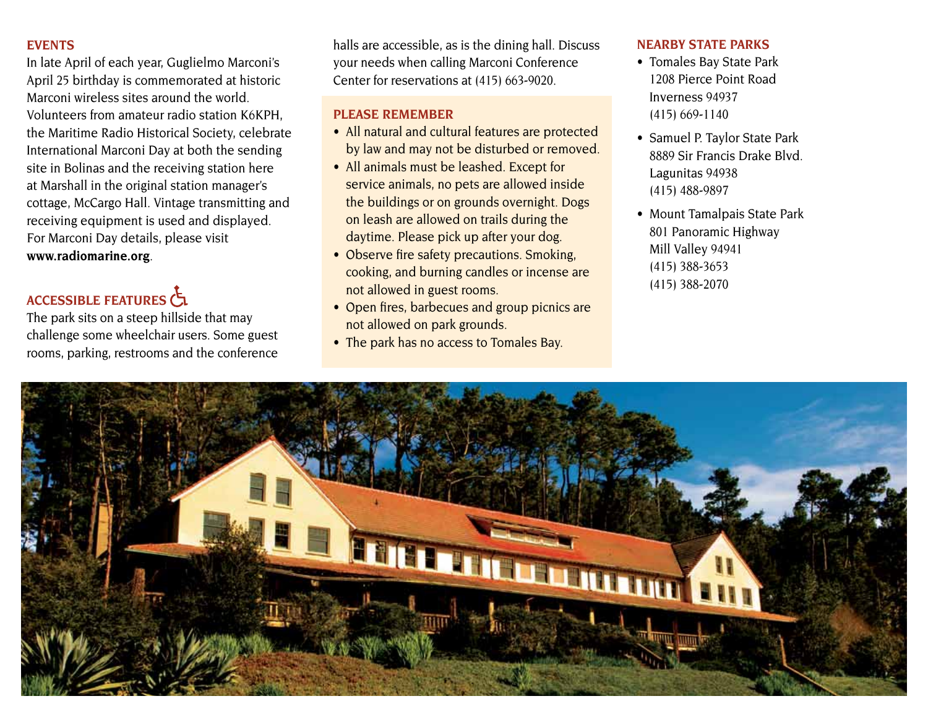## **EvENTS**

In late April of each year, Guglielmo Marconi's April 25 birthday is commemorated at historic Marconi wireless sites around the world. Volunteers from amateur radio station K6KPH, the Maritime Radio Historical Society, celebrate International Marconi Day at both the sending site in Bolinas and the receiving station here at Marshall in the original station manager's cottage, McCargo Hall. Vintage transmitting and receiving equipment is used and displayed. For Marconi Day details, please visit **www.radiomarine.org**.

## **ACCESSIBLE FEATuRES**

The park sits on a steep hillside that may challenge some wheelchair users. Some guest rooms, parking, restrooms and the conference

halls are accessible, as is the dining hall. Discuss your needs when calling Marconi Conference Center for reservations at (415) 663-9020.

## **PLEASE REMEMBER**

- All natural and cultural features are protected by law and may not be disturbed or removed.
- All animals must be leashed. Except for service animals, no pets are allowed inside the buildings or on grounds overnight. Dogs on leash are allowed on trails during the daytime. Please pick up after your dog.
- Observe fire safety precautions. Smoking, cooking, and burning candles or incense are not allowed in guest rooms.
- Open fires, barbecues and group picnics are not allowed on park grounds.
- The park has no access to Tomales Bay.

## **NEARBy STATE PARKS**

- Tomales Bay State Park 1208 Pierce Point Road Inverness 94937 (415) 669-1140
- Samuel P. Taylor State Park 8889 Sir Francis Drake Blvd. Lagunitas 94938 (415) 488-9897
- Mount Tamalpais State Park 801 Panoramic Highway Mill Valley 94941 (415) 388-3653 (415) 388-2070